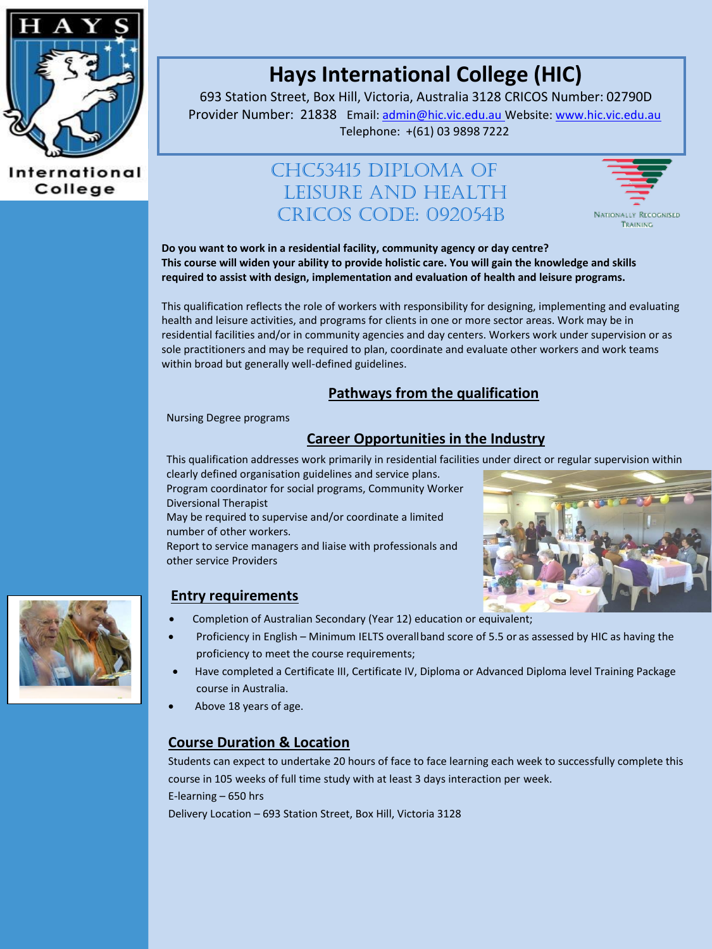

International College

# **Hays International College (HIC)**

693 Station Street, Box Hill, Victoria, Australia 3128 CRICOS Number: 02790D Provider Number: 21838 Email: [admin@hic.vic.edu.au](mailto:admin@hic.vic.edu.au) Website[: www.hic.vic.edu.au](http://www.hic.vic.edu.au/) Telephone: +(61) 03 9898 7222

# CHC53415 DIPLOMA OF LEISURE AND HEALTH CRICOS CODE: 092054B



**Do you want to work in a residential facility, community agency or day centre? This course will widen your ability to provide holistic care. You will gain the knowledge and skills required to assist with design, implementation and evaluation of health and leisure programs.**

This qualification reflects the role of workers with responsibility for designing, implementing and evaluating health and leisure activities, and programs for clients in one or more sector areas. Work may be in residential facilities and/or in community agencies and day centers. Workers work under supervision or as sole practitioners and may be required to plan, coordinate and evaluate other workers and work teams within broad but generally well-defined guidelines.

### **Pathways from the qualification**

Nursing Degree programs

# **Career Opportunities in the Industry**

This qualification addresses work primarily in residential facilities under direct or regular supervision within clearly defined organisation guidelines and service plans.

Program coordinator for social programs, Community Worker Diversional Therapist

May be required to supervise and/or coordinate a limited number of other workers.

Report to service managers and liaise with professionals and other service Providers





#### **Entry requirements**

- Completion of Australian Secondary (Year 12) education or equivalent;
- Proficiency in English Minimum IELTS overallband score of 5.5 or as assessed by HIC as having the proficiency to meet the course requirements;
- Have completed a Certificate III, Certificate IV, Diploma or Advanced Diploma level Training Package course in Australia.
- Above 18 years of age.

#### **Course Duration & Location**

Students can expect to undertake 20 hours of face to face learning each week to successfully complete this course in 105 weeks of full time study with at least 3 days interaction per week. E-learning – 650 hrs Delivery Location – 693 Station Street, Box Hill, Victoria 3128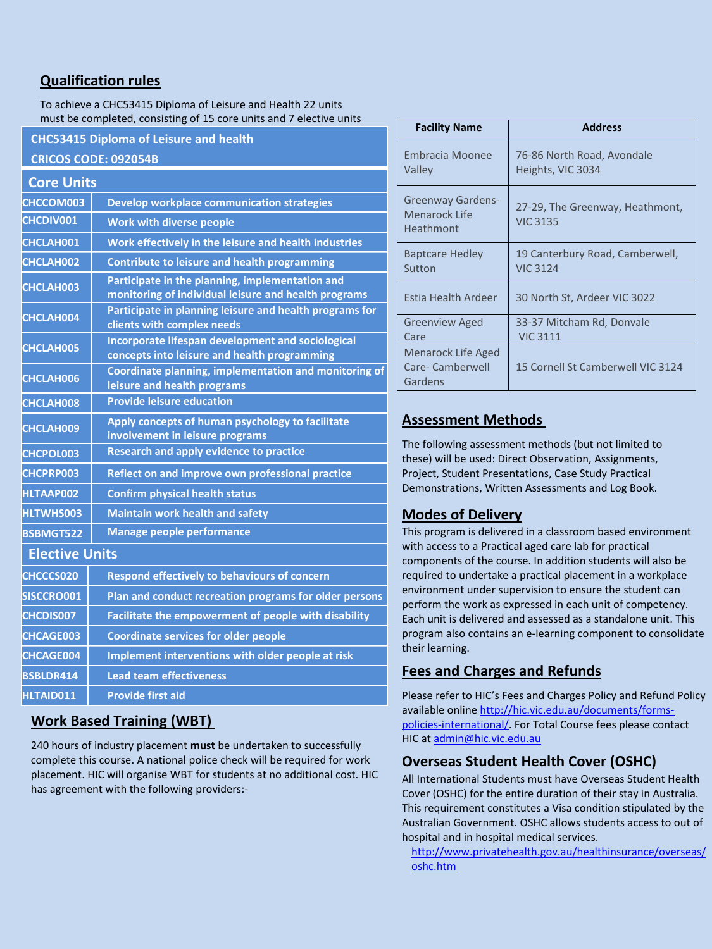# **Qualification rules**

To achieve a CHC53415 Diploma of Leisure and Health 22 units must be completed, consisting of 15 core units and 7 elective units

**CHC53415 Diploma of Leisure and health CRICOS CODE: 092054B**

| <b>Core Units</b>     |                                                                                                         |  |
|-----------------------|---------------------------------------------------------------------------------------------------------|--|
| CHCCOM003             | <b>Develop workplace communication strategies</b>                                                       |  |
| <b>CHCDIV001</b>      | <b>Work with diverse people</b>                                                                         |  |
| CHCLAH001             | Work effectively in the leisure and health industries                                                   |  |
| CHCLAH002             | <b>Contribute to leisure and health programming</b>                                                     |  |
| CHCLAH003             | Participate in the planning, implementation and<br>monitoring of individual leisure and health programs |  |
| CHCLAH004             | Participate in planning leisure and health programs for<br>clients with complex needs                   |  |
| CHCLAH005             | Incorporate lifespan development and sociological<br>concepts into leisure and health programming       |  |
| CHCLAH006             | Coordinate planning, implementation and monitoring of<br>leisure and health programs                    |  |
| CHCLAH008             | <b>Provide leisure education</b>                                                                        |  |
| CHCLAH009             | Apply concepts of human psychology to facilitate<br>involvement in leisure programs                     |  |
| CHCPOL003             | <b>Research and apply evidence to practice</b>                                                          |  |
| <b>CHCPRP003</b>      | Reflect on and improve own professional practice                                                        |  |
| <b>HLTAAP002</b>      | <b>Confirm physical health status</b>                                                                   |  |
| <b>HLTWHS003</b>      | <b>Maintain work health and safety</b>                                                                  |  |
| <b>BSBMGT522</b>      | Manage people performance                                                                               |  |
| <b>Elective Units</b> |                                                                                                         |  |
| CHCCCS020             | <b>Respond effectively to behaviours of concern</b>                                                     |  |
| SISCCRO001            | Plan and conduct recreation programs for older persons                                                  |  |
| <b>CHCDIS007</b>      | Facilitate the empowerment of people with disability                                                    |  |
| <b>CHCAGE003</b>      | <b>Coordinate services for older people</b>                                                             |  |
| <b>CHCAGE004</b>      | Implement interventions with older people at risk                                                       |  |
| BSBLDR414             | <b>Lead team effectiveness</b>                                                                          |  |
| HLTAID011             | <b>Provide first aid</b>                                                                                |  |

# **Work Based Training (WBT)**

240 hours of industry placement **must** be undertaken to successfully complete this course. A national police check will be required for work placement. HIC will organise WBT for students at no additional cost. HIC has agreement with the following providers:-

| <b>Facility Name</b>                                     | <b>Address</b>                                     |
|----------------------------------------------------------|----------------------------------------------------|
| <b>Embracia Moonee</b><br>Valley                         | 76-86 North Road, Avondale<br>Heights, VIC 3034    |
| <b>Greenway Gardens-</b><br>Menarock Life<br>Heathmont   | 27-29, The Greenway, Heathmont,<br><b>VIC 3135</b> |
| <b>Baptcare Hedley</b><br>Sutton                         | 19 Canterbury Road, Camberwell,<br><b>VIC 3124</b> |
| Estia Health Ardeer                                      | 30 North St, Ardeer VIC 3022                       |
| <b>Greenview Aged</b><br>Care                            | 33-37 Mitcham Rd, Donvale<br><b>VIC 3111</b>       |
| <b>Menarock Life Aged</b><br>Care- Camberwell<br>Gardens | 15 Cornell St Camberwell VIC 3124                  |

# **Assessment Methods**

The following assessment methods (but not limited to these) will be used: Direct Observation, Assignments, Project, Student Presentations, Case Study Practical Demonstrations, Written Assessments and Log Book.

#### **Modes of Delivery**

This program is delivered in a classroom based environment with access to a Practical aged care lab for practical components of the course. In addition students will also be required to undertake a practical placement in a workplace environment under supervision to ensure the student can perform the work as expressed in each unit of competency. Each unit is delivered and assessed as a standalone unit. This program also contains an e-learning component to consolidate their learning.

# **Fees and Charges and Refunds**

Please refer to HIC's Fees and Charges Policy and Refund Policy available onlin[e http://hic.vic.edu.au/documents/forms](http://hic.vic.edu.au/documents/forms-policies-international/)[policies-international/.](http://hic.vic.edu.au/documents/forms-policies-international/) For Total Course fees please contact HIC at [admin@hic.vic.edu.au](mailto:admin@hic.vic.edu.au)

#### **Overseas Student Health Cover (OSHC)**

All International Students must have Overseas Student Health Cover (OSHC) for the entire duration of their stay in Australia. This requirement constitutes a Visa condition stipulated by the Australian Government. OSHC allows students access to out of hospital and in hospital medical services.

[http://www.privatehealth.gov.au/healthinsurance/overseas/](http://www.privatehealth.gov.au/healthinsurance/overseas/oshc.htm) [oshc.htm](http://www.privatehealth.gov.au/healthinsurance/overseas/oshc.htm)